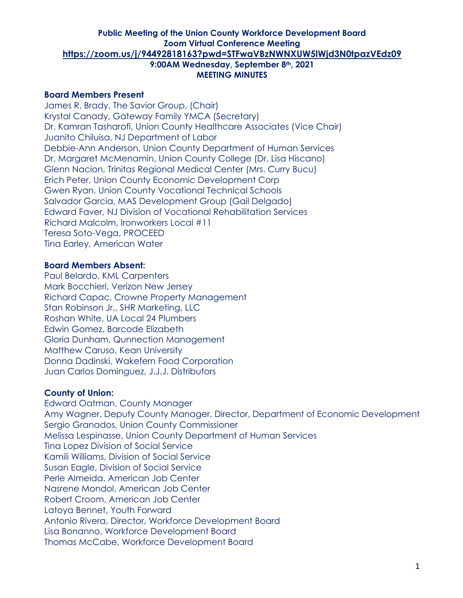### **Board Members Present**

James R. Brady, The Savior Group, (Chair) Krystal Canady, Gateway Family YMCA (Secretary) Dr. Kamran Tasharofi, Union County Healthcare Associates (Vice Chair) Juanito Chiluisa, NJ Department of Labor Debbie-Ann Anderson, Union County Department of Human Services Dr. Margaret McMenamin, Union County College (Dr. Lisa Hiscano) Glenn Nacion, Trinitas Regional Medical Center (Mrs. Curry Bucu) Erich Peter, Union County Economic Development Corp Gwen Ryan, Union County Vocational Technical Schools Salvador Garcia, MAS Development Group (Gail Delgado) Edward Faver, NJ Division of Vocational Rehabilitation Services Richard Malcolm, Ironworkers Local #11 Teresa Soto-Vega, PROCEED Tina Earley, American Water

### **Board Members Absent:**

Paul Belardo, KML Carpenters Mark Bocchieri, Verizon New Jersey Richard Capac, Crowne Property Management Stan Robinson Jr., SHR Marketing, LLC Roshan White, UA Local 24 Plumbers Edwin Gomez, Barcode Elizabeth Gloria Dunham, Qunnection Management Matthew Caruso, Kean University Donna Dadinski, Wakefern Food Corporation Juan Carlos Dominguez, J.J.J. Distributors

# **County of Union:**

Edward Oatman, County Manager Amy Wagner, Deputy County Manager, Director, Department of Economic Development Sergio Granados, Union County Commissioner Melissa Lespinasse, Union County Department of Human Services Tina Lopez Division of Social Service Kamili Williams, Division of Social Service Susan Eagle, Division of Social Service Perle Almeida, American Job Center Nasrene Mondol, American Job Center Robert Croom, American Job Center Latoya Bennet, Youth Forward Antonio Rivera, Director, Workforce Development Board Lisa Bonanno, Workforce Development Board Thomas McCabe, Workforce Development Board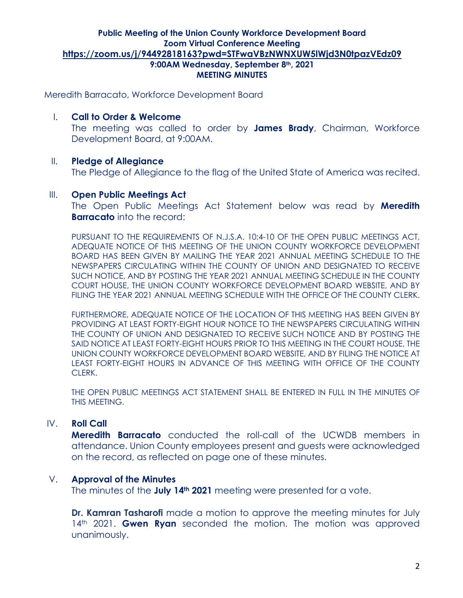Meredith Barracato, Workforce Development Board

Development Board, at 9:00AM.

I. **Call to Order & Welcome** The meeting was called to order by **James Brady**, Chairman, Workforce

# II. **Pledge of Allegiance**

The Pledge of Allegiance to the flag of the United State of America was recited.

### III. **Open Public Meetings Act**

The Open Public Meetings Act Statement below was read by **Meredith Barracato** into the record:

PURSUANT TO THE REQUIREMENTS OF N.J.S.A. 10:4-10 OF THE OPEN PUBLIC MEETINGS ACT, ADEQUATE NOTICE OF THIS MEETING OF THE UNION COUNTY WORKFORCE DEVELOPMENT BOARD HAS BEEN GIVEN BY MAILING THE YEAR 2021 ANNUAL MEETING SCHEDULE TO THE NEWSPAPERS CIRCULATING WITHIN THE COUNTY OF UNION AND DESIGNATED TO RECEIVE SUCH NOTICE, AND BY POSTING THE YEAR 2021 ANNUAL MEETING SCHEDULE IN THE COUNTY COURT HOUSE, THE UNION COUNTY WORKFORCE DEVELOPMENT BOARD WEBSITE, AND BY FILING THE YEAR 2021 ANNUAL MEETING SCHEDULE WITH THE OFFICE OF THE COUNTY CLERK.

FURTHERMORE, ADEQUATE NOTICE OF THE LOCATION OF THIS MEETING HAS BEEN GIVEN BY PROVIDING AT LEAST FORTY-EIGHT HOUR NOTICE TO THE NEWSPAPERS CIRCULATING WITHIN THE COUNTY OF UNION AND DESIGNATED TO RECEIVE SUCH NOTICE AND BY POSTING THE SAID NOTICE AT LEAST FORTY-EIGHT HOURS PRIOR TO THIS MEETING IN THE COURT HOUSE, THE UNION COUNTY WORKFORCE DEVELOPMENT BOARD WEBSITE, AND BY FILING THE NOTICE AT LEAST FORTY-EIGHT HOURS IN ADVANCE OF THIS MEETING WITH OFFICE OF THE COUNTY CLERK.

THE OPEN PUBLIC MEETINGS ACT STATEMENT SHALL BE ENTERED IN FULL IN THE MINUTES OF THIS MEETING.

# IV. **Roll Call**

**Meredith Barracato** conducted the roll-call of the UCWDB members in attendance. Union County employees present and guests were acknowledged on the record, as reflected on page one of these minutes.

# V. **Approval of the Minutes**

The minutes of the **July 14th 2021** meeting were presented for a vote.

**Dr. Kamran Tasharofi** made a motion to approve the meeting minutes for July 14<sup>th</sup> 2021. **Gwen Ryan** seconded the motion. The motion was approved unanimously.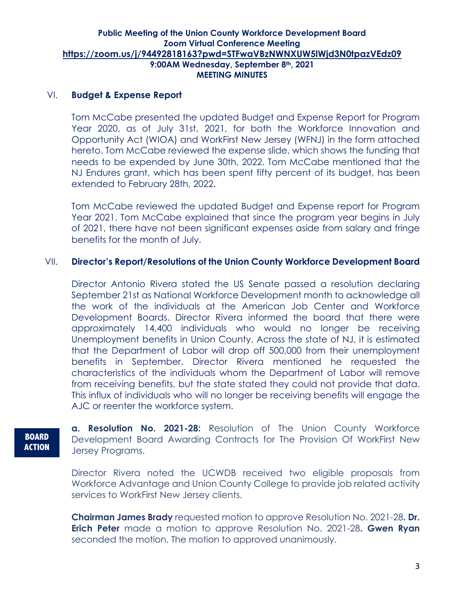# VI. **Budget & Expense Report**

Tom McCabe presented the updated Budget and Expense Report for Program Year 2020, as of July 31st, 2021, for both the Workforce Innovation and Opportunity Act (WIOA) and WorkFirst New Jersey (WFNJ) in the form attached hereto. Tom McCabe reviewed the expense slide, which shows the funding that needs to be expended by June 30th, 2022. Tom McCabe mentioned that the NJ Endures grant, which has been spent fifty percent of its budget, has been extended to February 28th, 2022.

Tom McCabe reviewed the updated Budget and Expense report for Program Year 2021. Tom McCabe explained that since the program year begins in July of 2021, there have not been significant expenses aside from salary and fringe benefits for the month of July.

# VII. **Director's Report/Resolutions of the Union County Workforce Development Board**

Director Antonio Rivera stated the US Senate passed a resolution declaring September 21st as National Workforce Development month to acknowledge all the work of the individuals at the American Job Center and Workforce Development Boards. Director Rivera informed the board that there were approximately 14,400 individuals who would no longer be receiving Unemployment benefits in Union County. Across the state of NJ, it is estimated that the Department of Labor will drop off 500,000 from their unemployment benefits in September. Director Rivera mentioned he requested the characteristics of the individuals whom the Department of Labor will remove from receiving benefits, but the state stated they could not provide that data. This influx of individuals who will no longer be receiving benefits will engage the AJC or reenter the workforce system.

# **BOARD ACTION**

**a. Resolution No. 2021-28:** Resolution of The Union County Workforce Development Board Awarding Contracts for The Provision Of WorkFirst New Jersey Programs.

Director Rivera noted the UCWDB received two eligible proposals from Workforce Advantage and Union County College to provide job related activity services to WorkFirst New Jersey clients.

**Chairman James Brady** requested motion to approve Resolution No. 2021-28**. Dr. Erich Peter** made a motion to approve Resolution No. 2021-28**. Gwen Ryan**  seconded the motion. The motion to approved unanimously.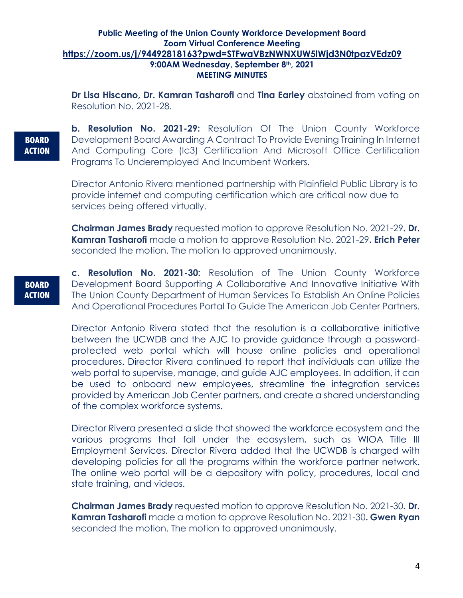**Dr Lisa Hiscano, Dr. Kamran Tasharofi** and **Tina Earley** abstained from voting on Resolution No. 2021-28.

**BOARD ACTION** **b. Resolution No. 2021-29:** Resolution Of The Union County Workforce Development Board Awarding A Contract To Provide Evening Training In Internet And Computing Core (Ic3) Certification And Microsoft Office Certification Programs To Underemployed And Incumbent Workers.

Director Antonio Rivera mentioned partnership with Plainfield Public Library is to provide internet and computing certification which are critical now due to services being offered virtually.

**Chairman James Brady** requested motion to approve Resolution No. 2021-29**. Dr. Kamran Tasharofi** made a motion to approve Resolution No. 2021-29**. Erich Peter** seconded the motion. The motion to approved unanimously.

**BOARD ACTION** **c. Resolution No. 2021-30:** Resolution of The Union County Workforce Development Board Supporting A Collaborative And Innovative Initiative With The Union County Department of Human Services To Establish An Online Policies And Operational Procedures Portal To Guide The American Job Center Partners.

Director Antonio Rivera stated that the resolution is a collaborative initiative between the UCWDB and the AJC to provide guidance through a passwordprotected web portal which will house online policies and operational procedures. Director Rivera continued to report that individuals can utilize the web portal to supervise, manage, and guide AJC employees. In addition, it can be used to onboard new employees, streamline the integration services provided by American Job Center partners, and create a shared understanding of the complex workforce systems.

Director Rivera presented a slide that showed the workforce ecosystem and the various programs that fall under the ecosystem, such as WIOA Title III Employment Services. Director Rivera added that the UCWDB is charged with developing policies for all the programs within the workforce partner network. The online web portal will be a depository with policy, procedures, local and state training, and videos.

**Chairman James Brady** requested motion to approve Resolution No. 2021-30**. Dr. Kamran Tasharofi** made a motion to approve Resolution No. 2021-30**. Gwen Ryan**  seconded the motion. The motion to approved unanimously.